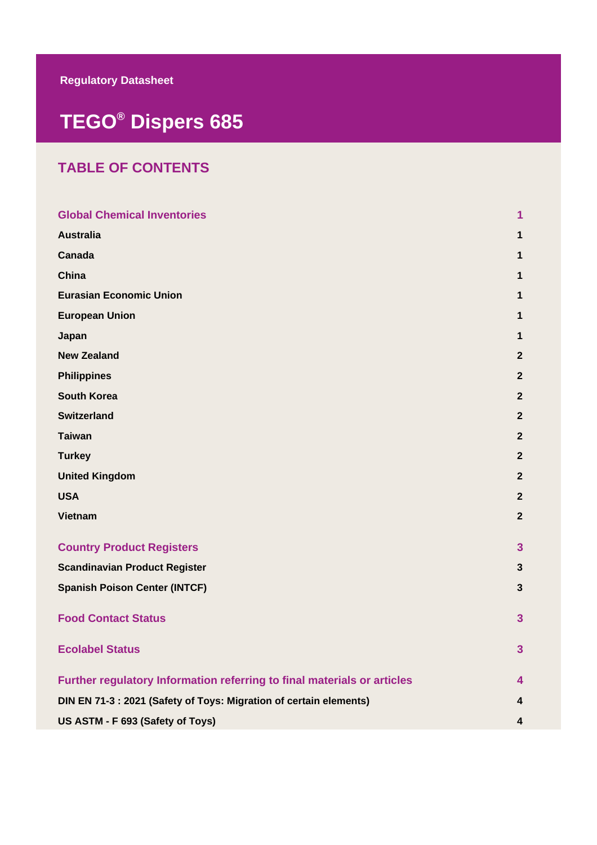# **TEGO® Dispers 685**

## **TABLE OF CONTENTS**

| <b>Global Chemical Inventories</b>                                      | 1              |
|-------------------------------------------------------------------------|----------------|
| <b>Australia</b>                                                        | 1              |
| Canada                                                                  | 1              |
| China                                                                   | 1              |
| <b>Eurasian Economic Union</b>                                          | 1              |
| <b>European Union</b>                                                   | 1              |
| Japan                                                                   | 1              |
| <b>New Zealand</b>                                                      | $\mathbf{2}$   |
| <b>Philippines</b>                                                      | $\overline{2}$ |
| <b>South Korea</b>                                                      | $\overline{2}$ |
| <b>Switzerland</b>                                                      | $\overline{2}$ |
| <b>Taiwan</b>                                                           | $\overline{2}$ |
| <b>Turkey</b>                                                           | $\overline{2}$ |
| <b>United Kingdom</b>                                                   | $\mathbf{2}$   |
| <b>USA</b>                                                              | $\mathbf{2}$   |
| <b>Vietnam</b>                                                          | $\mathbf{2}$   |
| <b>Country Product Registers</b>                                        | 3 <sup>5</sup> |
| <b>Scandinavian Product Register</b>                                    | 3              |
| <b>Spanish Poison Center (INTCF)</b>                                    | 3              |
| <b>Food Contact Status</b>                                              | 3 <sup>5</sup> |
| <b>Ecolabel Status</b>                                                  | $\overline{3}$ |
| Further regulatory Information referring to final materials or articles | 4              |
| DIN EN 71-3 : 2021 (Safety of Toys: Migration of certain elements)      | 4              |
| US ASTM - F 693 (Safety of Toys)                                        | 4              |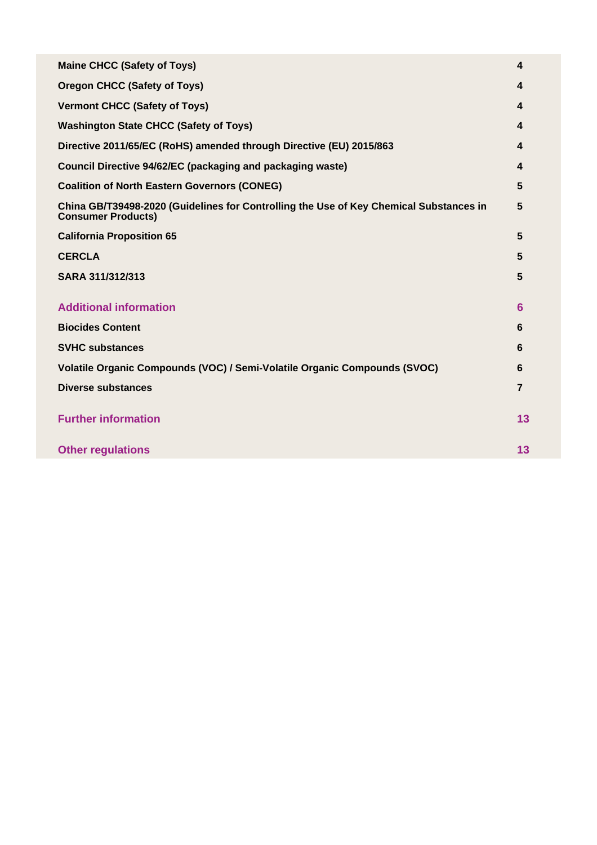| <b>Maine CHCC (Safety of Toys)</b>                                                                                  | 4              |
|---------------------------------------------------------------------------------------------------------------------|----------------|
| <b>Oregon CHCC (Safety of Toys)</b>                                                                                 | 4              |
| <b>Vermont CHCC (Safety of Toys)</b>                                                                                | 4              |
| <b>Washington State CHCC (Safety of Toys)</b>                                                                       | 4              |
| Directive 2011/65/EC (RoHS) amended through Directive (EU) 2015/863                                                 | 4              |
| <b>Council Directive 94/62/EC (packaging and packaging waste)</b>                                                   | 4              |
| <b>Coalition of North Eastern Governors (CONEG)</b>                                                                 | 5              |
| China GB/T39498-2020 (Guidelines for Controlling the Use of Key Chemical Substances in<br><b>Consumer Products)</b> | 5              |
| <b>California Proposition 65</b>                                                                                    | 5              |
| <b>CERCLA</b>                                                                                                       | 5              |
| SARA 311/312/313                                                                                                    | 5              |
| <b>Additional information</b>                                                                                       | 6              |
| <b>Biocides Content</b>                                                                                             | 6              |
| <b>SVHC substances</b>                                                                                              | 6              |
| Volatile Organic Compounds (VOC) / Semi-Volatile Organic Compounds (SVOC)                                           | 6              |
| <b>Diverse substances</b>                                                                                           | $\overline{7}$ |
| <b>Further information</b>                                                                                          | 13             |
| <b>Other regulations</b>                                                                                            | 13             |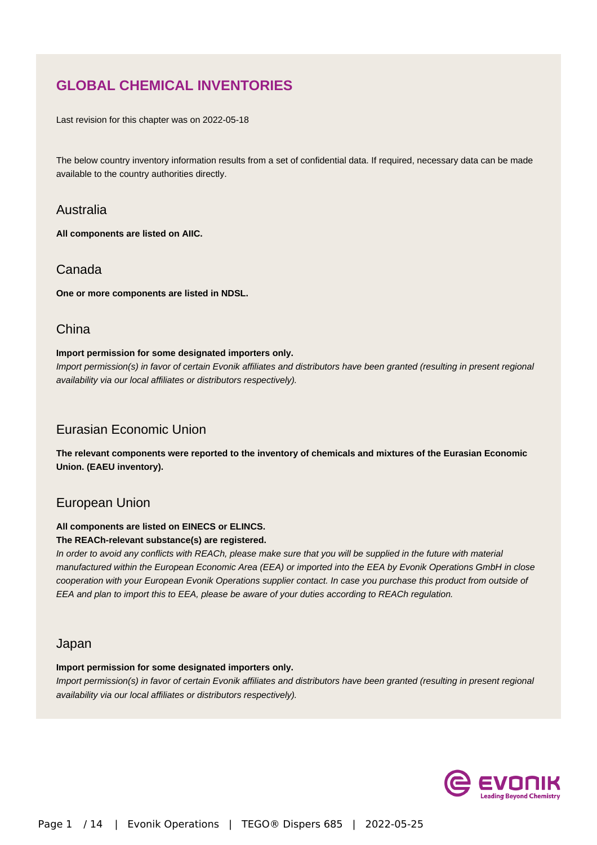## **GLOBAL CHEMICAL INVENTORIES**

Last revision for this chapter was on 2022-05-18

The below country inventory information results from a set of confidential data. If required, necessary data can be made available to the country authorities directly.

#### Australia

**All components are listed on AIIC.**

#### Canada

**One or more components are listed in NDSL.**

#### **China**

#### **Import permission for some designated importers only.**

Import permission(s) in favor of certain Evonik affiliates and distributors have been granted (resulting in present regional availability via our local affiliates or distributors respectively).

### Eurasian Economic Union

**The relevant components were reported to the inventory of chemicals and mixtures of the Eurasian Economic Union. (EAEU inventory).**

#### European Union

#### **All components are listed on EINECS or ELINCS.**

#### **The REACh-relevant substance(s) are registered.**

In order to avoid any conflicts with REACh, please make sure that you will be supplied in the future with material manufactured within the European Economic Area (EEA) or imported into the EEA by Evonik Operations GmbH in close cooperation with your European Evonik Operations supplier contact. In case you purchase this product from outside of EEA and plan to import this to EEA, please be aware of your duties according to REACh regulation.

#### Japan

#### **Import permission for some designated importers only.**

Import permission(s) in favor of certain Evonik affiliates and distributors have been granted (resulting in present regional availability via our local affiliates or distributors respectively).

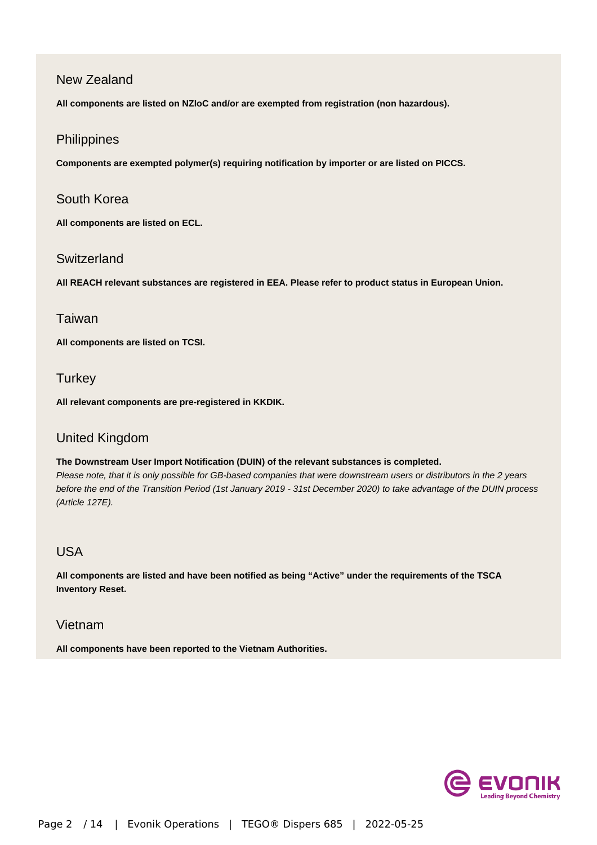#### New Zealand

**All components are listed on NZIoC and/or are exempted from registration (non hazardous).**

#### **Philippines**

**Components are exempted polymer(s) requiring notification by importer or are listed on PICCS.**

#### South Korea

**All components are listed on ECL.**

#### **Switzerland**

**All REACH relevant substances are registered in EEA. Please refer to product status in European Union.**

#### Taiwan

**All components are listed on TCSI.**

#### **Turkey**

**All relevant components are pre-registered in KKDIK.**

#### United Kingdom

#### **The Downstream User Import Notification (DUIN) of the relevant substances is completed.**

Please note, that it is only possible for GB-based companies that were downstream users or distributors in the 2 years before the end of the Transition Period (1st January 2019 - 31st December 2020) to take advantage of the DUIN process (Article 127E).

### USA

**All components are listed and have been notified as being "Active" under the requirements of the TSCA Inventory Reset.**

#### Vietnam

**All components have been reported to the Vietnam Authorities.**

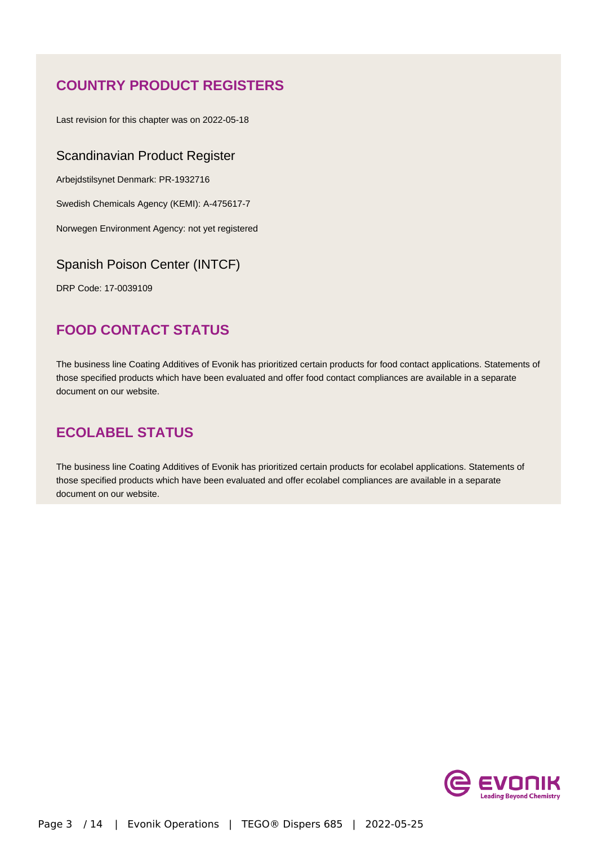## **COUNTRY PRODUCT REGISTERS**

Last revision for this chapter was on 2022-05-18

#### Scandinavian Product Register

Arbejdstilsynet Denmark: PR-1932716

Swedish Chemicals Agency (KEMI): A-475617-7

Norwegen Environment Agency: not yet registered

#### Spanish Poison Center (INTCF)

DRP Code: 17-0039109

## **FOOD CONTACT STATUS**

The business line Coating Additives of Evonik has prioritized certain products for food contact applications. Statements of those specified products which have been evaluated and offer food contact compliances are available in a separate document on our website.

## **ECOLABEL STATUS**

The business line Coating Additives of Evonik has prioritized certain products for ecolabel applications. Statements of those specified products which have been evaluated and offer ecolabel compliances are available in a separate document on our website.

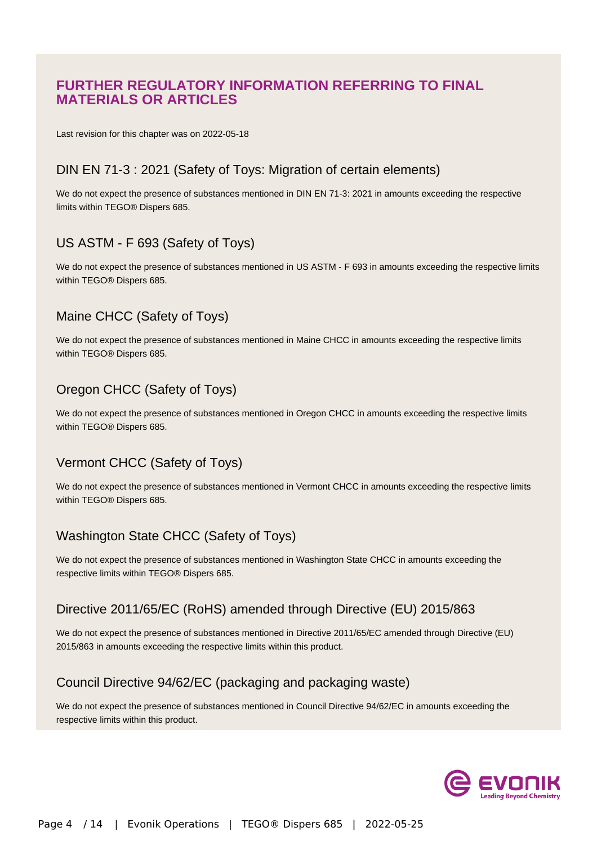### **FURTHER REGULATORY INFORMATION REFERRING TO FINAL MATERIALS OR ARTICLES**

Last revision for this chapter was on 2022-05-18

#### DIN EN 71-3 : 2021 (Safety of Toys: Migration of certain elements)

We do not expect the presence of substances mentioned in DIN EN 71-3: 2021 in amounts exceeding the respective limits within TEGO® Dispers 685.

### US ASTM - F 693 (Safety of Toys)

We do not expect the presence of substances mentioned in US ASTM - F 693 in amounts exceeding the respective limits within TEGO® Dispers 685.

### Maine CHCC (Safety of Toys)

We do not expect the presence of substances mentioned in Maine CHCC in amounts exceeding the respective limits within TEGO® Dispers 685.

### Oregon CHCC (Safety of Toys)

We do not expect the presence of substances mentioned in Oregon CHCC in amounts exceeding the respective limits within TEGO® Dispers 685.

### Vermont CHCC (Safety of Toys)

We do not expect the presence of substances mentioned in Vermont CHCC in amounts exceeding the respective limits within TEGO® Dispers 685.

### Washington State CHCC (Safety of Toys)

We do not expect the presence of substances mentioned in Washington State CHCC in amounts exceeding the respective limits within TEGO® Dispers 685.

#### Directive 2011/65/EC (RoHS) amended through Directive (EU) 2015/863

We do not expect the presence of substances mentioned in Directive 2011/65/EC amended through Directive (EU) 2015/863 in amounts exceeding the respective limits within this product.

### Council Directive 94/62/EC (packaging and packaging waste)

We do not expect the presence of substances mentioned in Council Directive 94/62/EC in amounts exceeding the respective limits within this product.

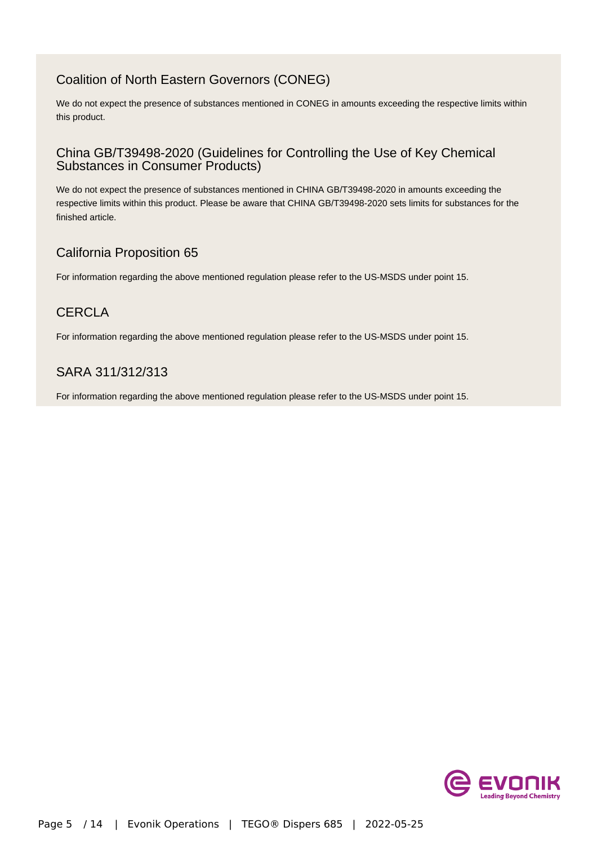### Coalition of North Eastern Governors (CONEG)

We do not expect the presence of substances mentioned in CONEG in amounts exceeding the respective limits within this product.

#### China GB/T39498-2020 (Guidelines for Controlling the Use of Key Chemical Substances in Consumer Products)

We do not expect the presence of substances mentioned in CHINA GB/T39498-2020 in amounts exceeding the respective limits within this product. Please be aware that CHINA GB/T39498-2020 sets limits for substances for the finished article.

### California Proposition 65

For information regarding the above mentioned regulation please refer to the US-MSDS under point 15.

### **CERCLA**

For information regarding the above mentioned regulation please refer to the US-MSDS under point 15.

### SARA 311/312/313

For information regarding the above mentioned regulation please refer to the US-MSDS under point 15.

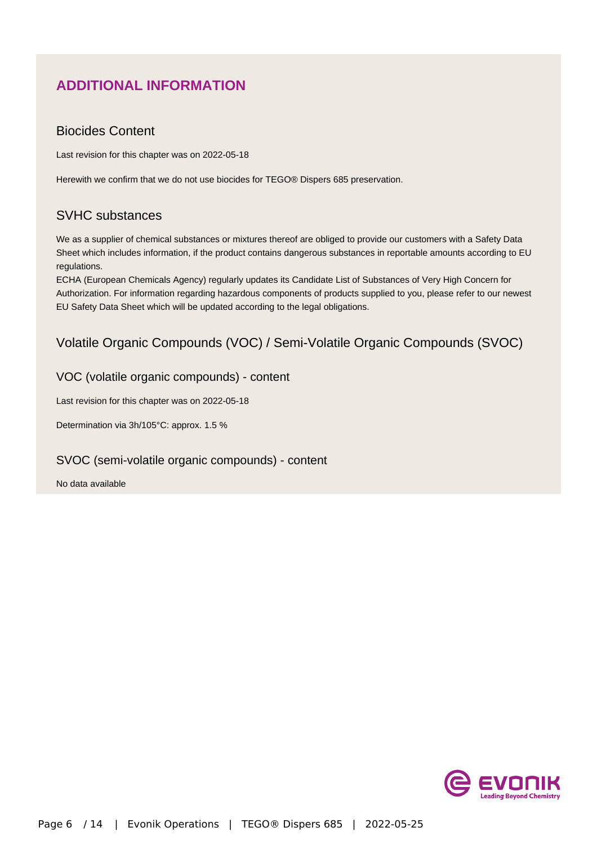## **ADDITIONAL INFORMATION**

#### Biocides Content

Last revision for this chapter was on 2022-05-18

Herewith we confirm that we do not use biocides for TEGO® Dispers 685 preservation.

### SVHC substances

We as a supplier of chemical substances or mixtures thereof are obliged to provide our customers with a Safety Data Sheet which includes information, if the product contains dangerous substances in reportable amounts according to EU regulations.

ECHA (European Chemicals Agency) regularly updates its Candidate List of Substances of Very High Concern for Authorization. For information regarding hazardous components of products supplied to you, please refer to our newest EU Safety Data Sheet which will be updated according to the legal obligations.

### Volatile Organic Compounds (VOC) / Semi-Volatile Organic Compounds (SVOC)

#### VOC (volatile organic compounds) - content

Last revision for this chapter was on 2022-05-18

Determination via 3h/105°C: approx. 1.5 %

#### SVOC (semi-volatile organic compounds) - content

No data available

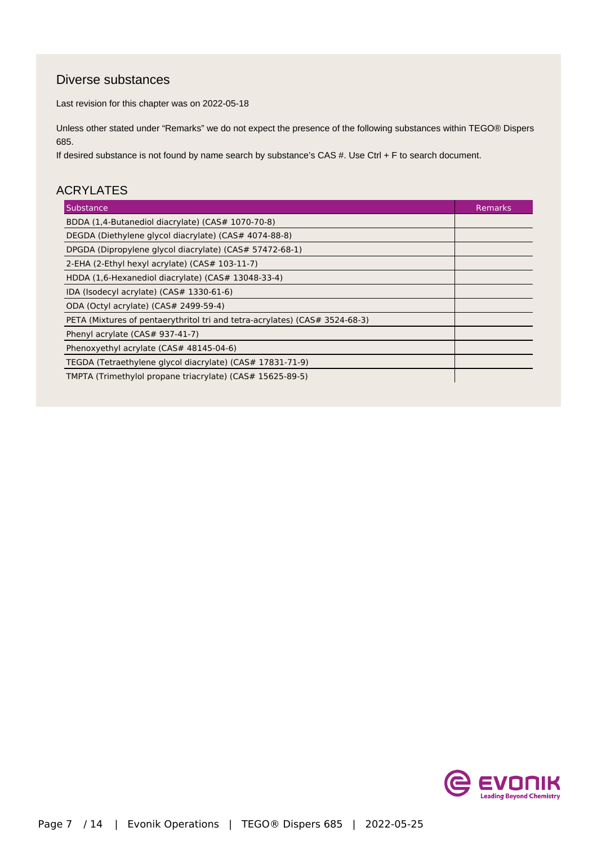### Diverse substances

Last revision for this chapter was on 2022-05-18

Unless other stated under "Remarks" we do not expect the presence of the following substances within TEGO® Dispers 685.

If desired substance is not found by name search by substance's CAS #. Use Ctrl + F to search document.

#### ACRYLATES

| Substance                                                                   | Remarks |
|-----------------------------------------------------------------------------|---------|
| BDDA (1,4-Butanediol diacrylate) (CAS# 1070-70-8)                           |         |
| DEGDA (Diethylene glycol diacrylate) (CAS# 4074-88-8)                       |         |
| DPGDA (Dipropylene glycol diacrylate) (CAS# 57472-68-1)                     |         |
| 2-EHA (2-Ethyl hexyl acrylate) (CAS# 103-11-7)                              |         |
| HDDA (1,6-Hexanediol diacrylate) (CAS# 13048-33-4)                          |         |
| IDA (Isodecyl acrylate) (CAS# 1330-61-6)                                    |         |
| ODA (Octyl acrylate) (CAS# 2499-59-4)                                       |         |
| PETA (Mixtures of pentaerythritol tri and tetra-acrylates) (CAS# 3524-68-3) |         |
| Phenyl acrylate (CAS# 937-41-7)                                             |         |
| Phenoxyethyl acrylate (CAS# 48145-04-6)                                     |         |
| TEGDA (Tetraethylene glycol diacrylate) (CAS# 17831-71-9)                   |         |
| TMPTA (Trimethylol propane triacrylate) (CAS# 15625-89-5)                   |         |

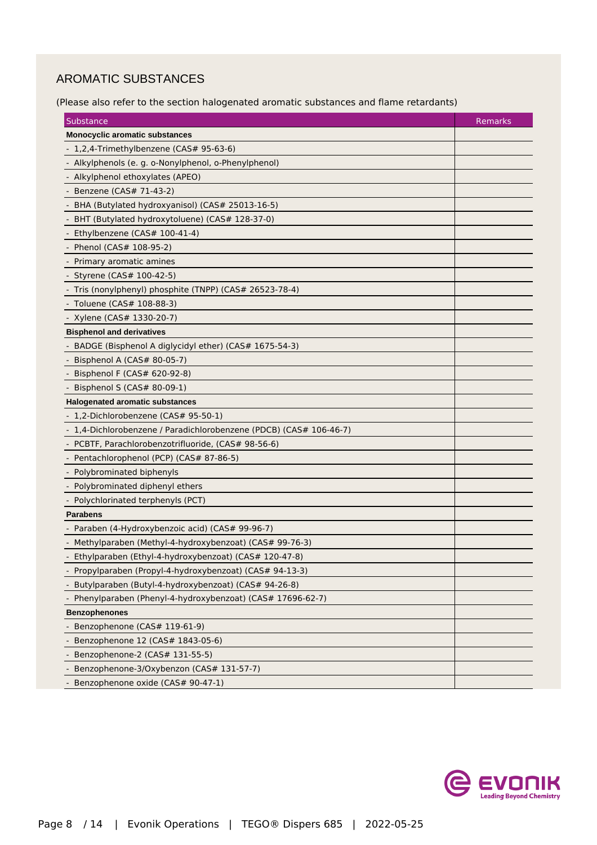### AROMATIC SUBSTANCES

(Please also refer to the section halogenated aromatic substances and flame retardants)

| Substance                                                          | Remarks |
|--------------------------------------------------------------------|---------|
| <b>Monocyclic aromatic substances</b>                              |         |
| - 1,2,4-Trimethylbenzene (CAS# 95-63-6)                            |         |
| Alkylphenols (e. g. o-Nonylphenol, o-Phenylphenol)                 |         |
| - Alkylphenol ethoxylates (APEO)                                   |         |
| - Benzene (CAS# 71-43-2)                                           |         |
| BHA (Butylated hydroxyanisol) (CAS# 25013-16-5)                    |         |
| BHT (Butylated hydroxytoluene) (CAS# 128-37-0)                     |         |
| - Ethylbenzene (CAS# 100-41-4)                                     |         |
| Phenol (CAS# 108-95-2)                                             |         |
| Primary aromatic amines                                            |         |
| - Styrene (CAS# 100-42-5)                                          |         |
| Tris (nonylphenyl) phosphite (TNPP) (CAS# 26523-78-4)              |         |
| Toluene (CAS# 108-88-3)                                            |         |
| - Xylene (CAS# 1330-20-7)                                          |         |
| <b>Bisphenol and derivatives</b>                                   |         |
| BADGE (Bisphenol A diglycidyl ether) (CAS# 1675-54-3)              |         |
| Bisphenol A (CAS# 80-05-7)                                         |         |
| Bisphenol F (CAS# 620-92-8)                                        |         |
| Bisphenol S (CAS# 80-09-1)                                         |         |
| <b>Halogenated aromatic substances</b>                             |         |
| 1,2-Dichlorobenzene (CAS# 95-50-1)                                 |         |
| - 1,4-Dichlorobenzene / Paradichlorobenzene (PDCB) (CAS# 106-46-7) |         |
| - PCBTF, Parachlorobenzotrifluoride, (CAS# 98-56-6)                |         |
| Pentachlorophenol (PCP) (CAS# 87-86-5)                             |         |
| - Polybrominated biphenyls                                         |         |
| - Polybrominated diphenyl ethers                                   |         |
| Polychlorinated terphenyls (PCT)                                   |         |
| Parabens                                                           |         |
| - Paraben (4-Hydroxybenzoic acid) (CAS# 99-96-7)                   |         |
| Methylparaben (Methyl-4-hydroxybenzoat) (CAS# 99-76-3)             |         |
| Ethylparaben (Ethyl-4-hydroxybenzoat) (CAS# 120-47-8)              |         |
| - Propylparaben (Propyl-4-hydroxybenzoat) (CAS# 94-13-3)           |         |
| Butylparaben (Butyl-4-hydroxybenzoat) (CAS# 94-26-8)               |         |
| Phenylparaben (Phenyl-4-hydroxybenzoat) (CAS# 17696-62-7)          |         |
| <b>Benzophenones</b>                                               |         |
| Benzophenone (CAS# 119-61-9)                                       |         |
| Benzophenone 12 (CAS# 1843-05-6)                                   |         |
| Benzophenone-2 (CAS# 131-55-5)                                     |         |
| Benzophenone-3/Oxybenzon (CAS# 131-57-7)                           |         |
| - Benzophenone oxide (CAS# 90-47-1)                                |         |

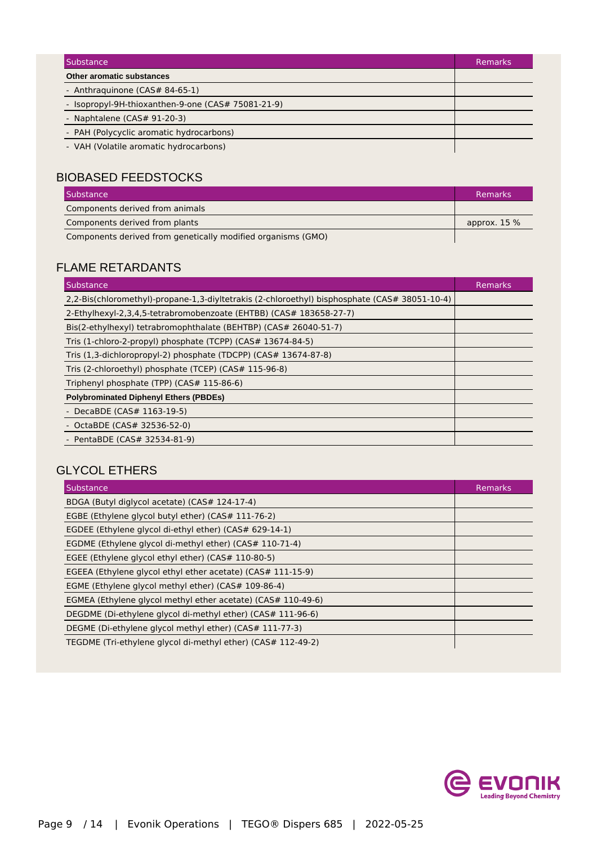| Substance                                          | <b>Remarks</b> |
|----------------------------------------------------|----------------|
| Other aromatic substances                          |                |
| - Anthraguinone (CAS# 84-65-1)                     |                |
| - Isopropyl-9H-thioxanthen-9-one (CAS# 75081-21-9) |                |
| - Naphtalene ( $CAS# 91-20-3$ )                    |                |
| - PAH (Polycyclic aromatic hydrocarbons)           |                |
| - VAH (Volatile aromatic hydrocarbons)             |                |

### BIOBASED FEEDSTOCKS

| Substance                                                    | <b>Remarks</b> |
|--------------------------------------------------------------|----------------|
| Components derived from animals                              |                |
| Components derived from plants                               | approx. $15\%$ |
| Components derived from genetically modified organisms (GMO) |                |

### FLAME RETARDANTS

| Substance                                                                                     | <b>Remarks</b> |
|-----------------------------------------------------------------------------------------------|----------------|
| 2,2-Bis(chloromethyl)-propane-1,3-diyltetrakis (2-chloroethyl) bisphosphate (CAS# 38051-10-4) |                |
| 2-Ethylhexyl-2,3,4,5-tetrabromobenzoate (EHTBB) (CAS# 183658-27-7)                            |                |
| Bis(2-ethylhexyl) tetrabromophthalate (BEHTBP) (CAS# 26040-51-7)                              |                |
| Tris (1-chloro-2-propyl) phosphate (TCPP) (CAS# 13674-84-5)                                   |                |
| Tris (1,3-dichloropropyl-2) phosphate (TDCPP) (CAS# 13674-87-8)                               |                |
| Tris (2-chloroethyl) phosphate (TCEP) (CAS# 115-96-8)                                         |                |
| Triphenyl phosphate (TPP) (CAS# 115-86-6)                                                     |                |
| <b>Polybrominated Diphenyl Ethers (PBDEs)</b>                                                 |                |
| - DecaBDE (CAS# 1163-19-5)                                                                    |                |
| - OctaBDE (CAS# 32536-52-0)                                                                   |                |
| - PentaBDE (CAS# 32534-81-9)                                                                  |                |

### GLYCOL ETHERS

| Substance                                                    | <b>Remarks</b> |
|--------------------------------------------------------------|----------------|
| BDGA (Butyl diglycol acetate) (CAS# 124-17-4)                |                |
| EGBE (Ethylene glycol butyl ether) (CAS# 111-76-2)           |                |
| EGDEE (Ethylene glycol di-ethyl ether) (CAS# 629-14-1)       |                |
| EGDME (Ethylene glycol di-methyl ether) (CAS# 110-71-4)      |                |
| EGEE (Ethylene glycol ethyl ether) (CAS# 110-80-5)           |                |
| EGEEA (Ethylene glycol ethyl ether acetate) (CAS# 111-15-9)  |                |
| EGME (Ethylene glycol methyl ether) (CAS# 109-86-4)          |                |
| EGMEA (Ethylene glycol methyl ether acetate) (CAS# 110-49-6) |                |
| DEGDME (Di-ethylene glycol di-methyl ether) (CAS# 111-96-6)  |                |
| DEGME (Di-ethylene glycol methyl ether) (CAS# 111-77-3)      |                |
| TEGDME (Tri-ethylene glycol di-methyl ether) (CAS# 112-49-2) |                |

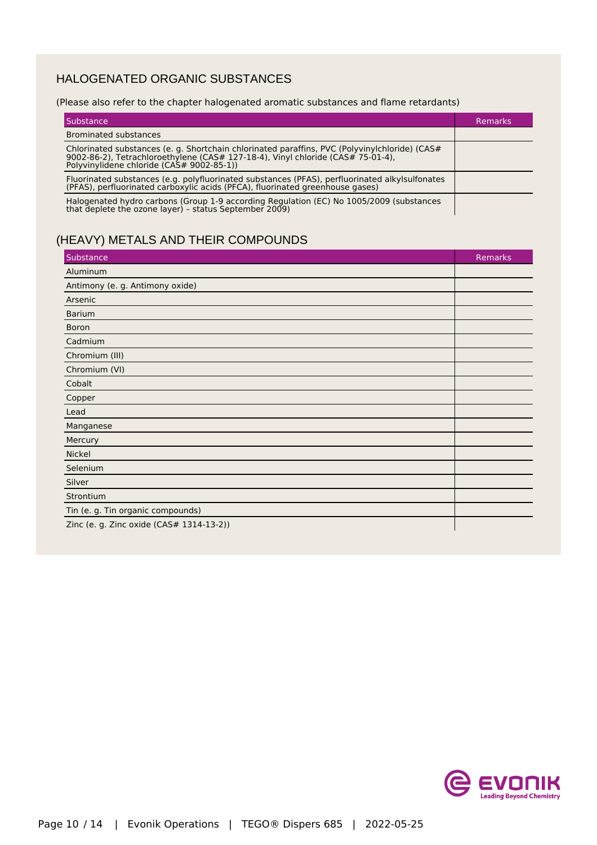### HALOGENATED ORGANIC SUBSTANCES

#### (Please also refer to the chapter halogenated aromatic substances and flame retardants)

| l Substance                                                                                                                                                                                                                   | Remarks |
|-------------------------------------------------------------------------------------------------------------------------------------------------------------------------------------------------------------------------------|---------|
| <b>Brominated substances</b>                                                                                                                                                                                                  |         |
| Chlorinated substances (e. g. Shortchain chlorinated paraffins, PVC (Polyvinylchloride) (CAS#<br>9002-86-2), Tetrachloroethylene (CAS# 127-18-4), Vinyl chloride (CAS# 75-01-4),<br>Polyvinylidene chloride (CAS# 9002-85-1)) |         |
| Fluorinated substances (e.g. polyfluorinated substances (PFAS), perfluorinated alkylsulfonates<br>(PFAS), perfluorinated carboxylic acids (PFCA), fluorinated greenhouse gases)                                               |         |
| Halogenated hydro carbons (Group 1-9 according Regulation (EC) No 1005/2009 (substances<br>that deplete the ozone layer) - status September 2009)                                                                             |         |

## (HEAVY) METALS AND THEIR COMPOUNDS

| Substance                                | Remarks |
|------------------------------------------|---------|
| Aluminum                                 |         |
| Antimony (e. g. Antimony oxide)          |         |
| Arsenic                                  |         |
| <b>Barium</b>                            |         |
| <b>Boron</b>                             |         |
| Cadmium                                  |         |
| Chromium (III)                           |         |
| Chromium (VI)                            |         |
| Cobalt                                   |         |
| Copper                                   |         |
| Lead                                     |         |
| Manganese                                |         |
| Mercury                                  |         |
| Nickel                                   |         |
| Selenium                                 |         |
| Silver                                   |         |
| Strontium                                |         |
| Tin (e. g. Tin organic compounds)        |         |
| Zinc (e. g. Zinc oxide (CAS# 1314-13-2)) |         |

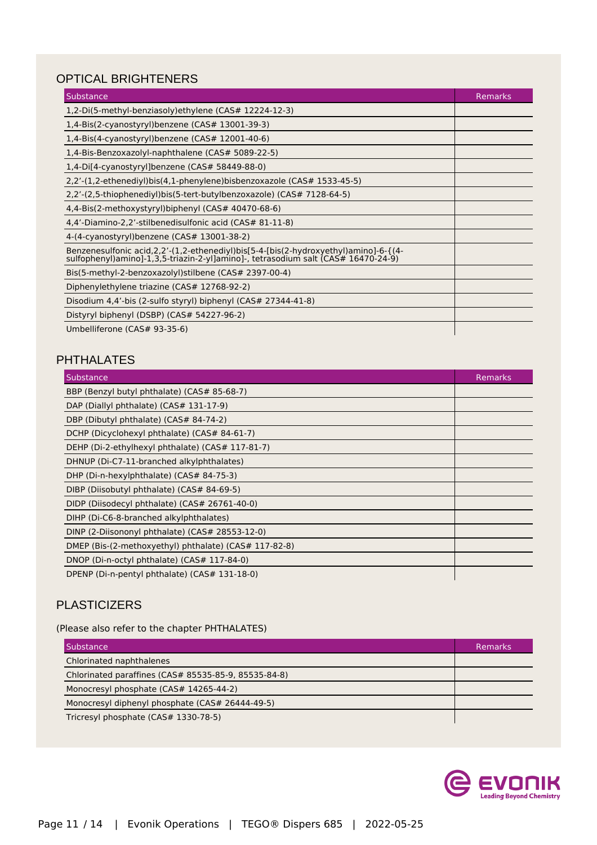## OPTICAL BRIGHTENERS

| Substance                                                                                                                                                                      | <b>Remarks</b> |
|--------------------------------------------------------------------------------------------------------------------------------------------------------------------------------|----------------|
| 1,2-Di(5-methyl-benziasoly) ethylene (CAS# 12224-12-3)                                                                                                                         |                |
| 1,4-Bis(2-cyanostyryl)benzene ( $CAS#$ 13001-39-3)                                                                                                                             |                |
| 1,4-Bis(4-cyanostyryl)benzene (CAS# 12001-40-6)                                                                                                                                |                |
| 1,4-Bis-Benzoxazolyl-naphthalene (CAS# 5089-22-5)                                                                                                                              |                |
| 1,4-Di[4-cyanostyryl]benzene (CAS# 58449-88-0)                                                                                                                                 |                |
| 2,2'-(1,2-ethenediyl)bis(4,1-phenylene)bisbenzoxazole (CAS# 1533-45-5)                                                                                                         |                |
| 2,2'-(2,5-thiophenediyl)bis(5-tert-butylbenzoxazole) (CAS# 7128-64-5)                                                                                                          |                |
| 4,4-Bis(2-methoxystyryl)biphenyl (CAS# 40470-68-6)                                                                                                                             |                |
| 4,4'-Diamino-2,2'-stilbenedisulfonic acid (CAS# 81-11-8)                                                                                                                       |                |
| 4-(4-cyanostyryl)benzene (CAS# 13001-38-2)                                                                                                                                     |                |
| Benzenesulfonic acid, 2, 2'-(1, 2-ethenediyl) bis [5-4-[bis(2-hydroxyethyl) amino]-6-{(4-sulfophenyl) amino]-1, 3, 5-triazin-2-yl] amino]-, tetrasodium salt (CAS# 16470-24-9) |                |
| Bis(5-methyl-2-benzoxazolyl) stilbene (CAS# 2397-00-4)                                                                                                                         |                |
| Diphenylethylene triazine (CAS# 12768-92-2)                                                                                                                                    |                |
| Disodium 4,4'-bis (2-sulfo styryl) biphenyl (CAS# 27344-41-8)                                                                                                                  |                |
| Distyryl biphenyl (DSBP) (CAS# 54227-96-2)                                                                                                                                     |                |
| Umbelliferone (CAS# 93-35-6)                                                                                                                                                   |                |

### PHTHALATES

| Substance                                             | <b>Remarks</b> |
|-------------------------------------------------------|----------------|
| BBP (Benzyl butyl phthalate) (CAS# 85-68-7)           |                |
| DAP (Diallyl phthalate) (CAS# 131-17-9)               |                |
| DBP (Dibutyl phthalate) (CAS# 84-74-2)                |                |
| DCHP (Dicyclohexyl phthalate) (CAS# 84-61-7)          |                |
| DEHP (Di-2-ethylhexyl phthalate) (CAS# 117-81-7)      |                |
| DHNUP (Di-C7-11-branched alkylphthalates)             |                |
| DHP (Di-n-hexylphthalate) (CAS# 84-75-3)              |                |
| DIBP (Diisobutyl phthalate) (CAS# 84-69-5)            |                |
| DIDP (Diisodecyl phthalate) (CAS# 26761-40-0)         |                |
| DIHP (Di-C6-8-branched alkylphthalates)               |                |
| DINP (2-Diisononyl phthalate) (CAS# 28553-12-0)       |                |
| DMEP (Bis-(2-methoxyethyl) phthalate) (CAS# 117-82-8) |                |
| DNOP (Di-n-octyl phthalate) (CAS# 117-84-0)           |                |
| DPENP (Di-n-pentyl phthalate) (CAS# 131-18-0)         |                |

### **PLASTICIZERS**

(Please also refer to the chapter PHTHALATES)

| Substance                                            | Remarks |
|------------------------------------------------------|---------|
| Chlorinated naphthalenes                             |         |
| Chlorinated paraffines (CAS# 85535-85-9, 85535-84-8) |         |
| Monocresyl phosphate (CAS# 14265-44-2)               |         |
| Monocresyl diphenyl phosphate (CAS# 26444-49-5)      |         |
| Tricresyl phosphate (CAS# 1330-78-5)                 |         |

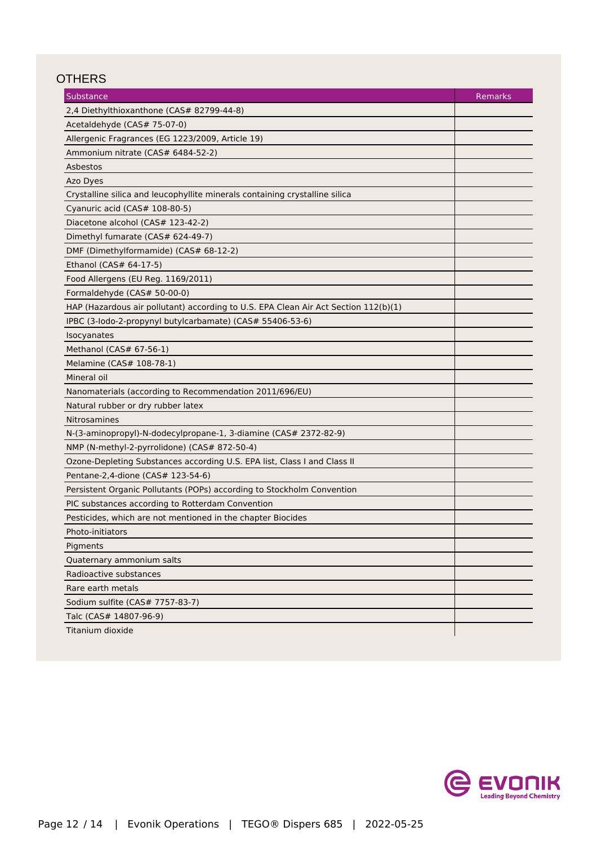### **OTHERS**

| Substance                                                                           | Remarks |
|-------------------------------------------------------------------------------------|---------|
| 2,4 Diethylthioxanthone (CAS# 82799-44-8)                                           |         |
| Acetaldehyde (CAS# 75-07-0)                                                         |         |
| Allergenic Fragrances (EG 1223/2009, Article 19)                                    |         |
| Ammonium nitrate (CAS# 6484-52-2)                                                   |         |
| Asbestos                                                                            |         |
| Azo Dyes                                                                            |         |
| Crystalline silica and leucophyllite minerals containing crystalline silica         |         |
| Cyanuric acid (CAS# 108-80-5)                                                       |         |
| Diacetone alcohol (CAS# 123-42-2)                                                   |         |
| Dimethyl fumarate (CAS# 624-49-7)                                                   |         |
| DMF (Dimethylformamide) (CAS# 68-12-2)                                              |         |
| Ethanol (CAS# 64-17-5)                                                              |         |
| Food Allergens (EU Reg. 1169/2011)                                                  |         |
| Formaldehyde (CAS# 50-00-0)                                                         |         |
| HAP (Hazardous air pollutant) according to U.S. EPA Clean Air Act Section 112(b)(1) |         |
| IPBC (3-lodo-2-propynyl butylcarbamate) (CAS# 55406-53-6)                           |         |
| Isocyanates                                                                         |         |
| Methanol (CAS# 67-56-1)                                                             |         |
| Melamine (CAS# 108-78-1)                                                            |         |
| Mineral oil                                                                         |         |
| Nanomaterials (according to Recommendation 2011/696/EU)                             |         |
| Natural rubber or dry rubber latex                                                  |         |
| Nitrosamines                                                                        |         |
| N-(3-aminopropyl)-N-dodecylpropane-1, 3-diamine (CAS# 2372-82-9)                    |         |
| NMP (N-methyl-2-pyrrolidone) (CAS# 872-50-4)                                        |         |
| Ozone-Depleting Substances according U.S. EPA list, Class I and Class II            |         |
| Pentane-2,4-dione (CAS# 123-54-6)                                                   |         |
| Persistent Organic Pollutants (POPs) according to Stockholm Convention              |         |
| PIC substances according to Rotterdam Convention                                    |         |
| Pesticides, which are not mentioned in the chapter Biocides                         |         |
| Photo-initiators                                                                    |         |
| Pigments                                                                            |         |
| Quaternary ammonium salts                                                           |         |
| Radioactive substances                                                              |         |
| Rare earth metals                                                                   |         |
| Sodium sulfite (CAS# 7757-83-7)                                                     |         |
| Talc (CAS# 14807-96-9)                                                              |         |
| Titanium dioxide                                                                    |         |

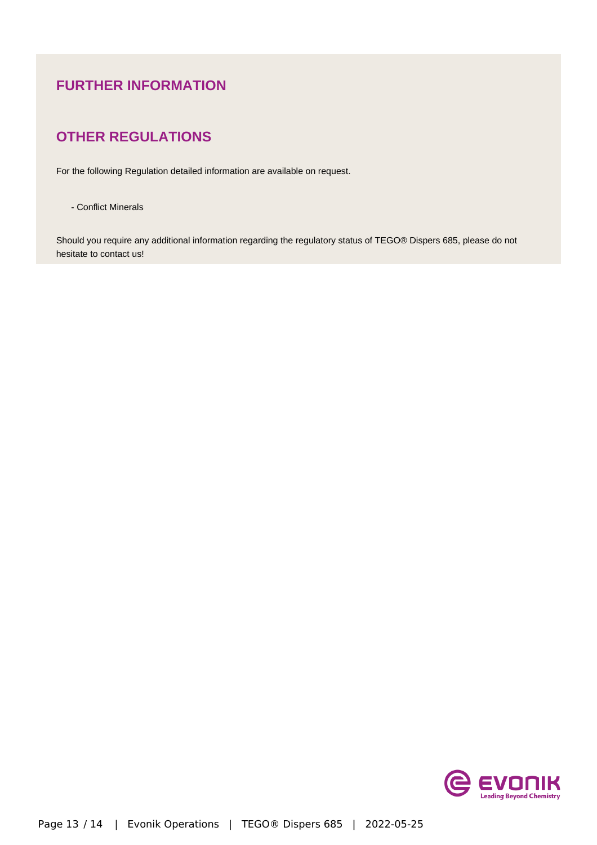## **FURTHER INFORMATION**

## **OTHER REGULATIONS**

For the following Regulation detailed information are available on request.

- Conflict Minerals

Should you require any additional information regarding the regulatory status of TEGO® Dispers 685, please do not hesitate to contact us!